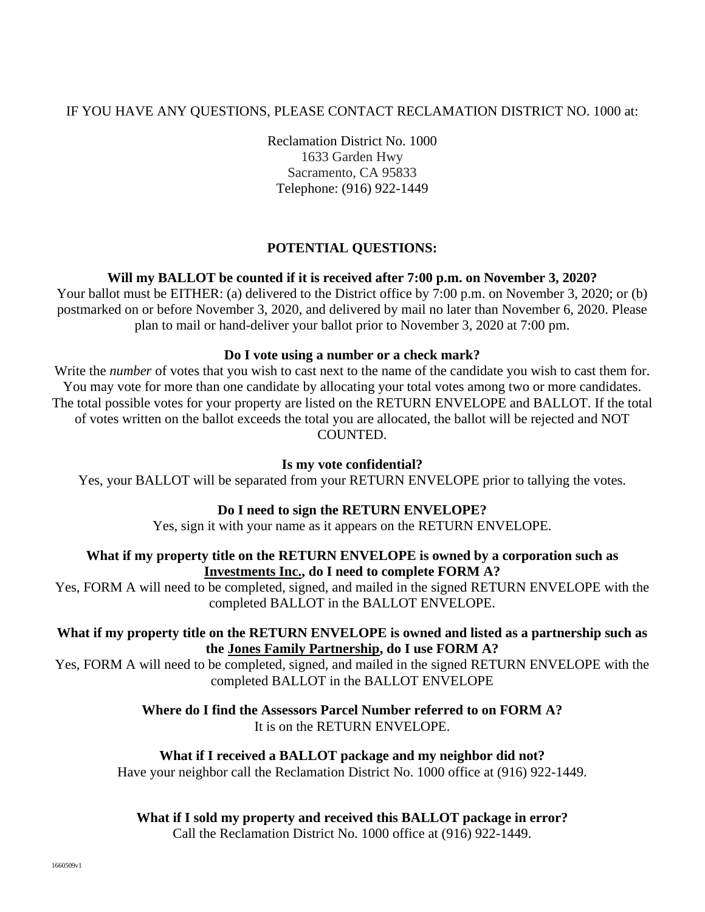# IF YOU HAVE ANY QUESTIONS, PLEASE CONTACT RECLAMATION DISTRICT NO. 1000 at:

Reclamation District No. 1000 1633 Garden Hwy Sacramento, CA 95833 Telephone: (916) 922-1449

# **POTENTIAL QUESTIONS:**

## **Will my BALLOT be counted if it is received after 7:00 p.m. on November 3, 2020?**

Your ballot must be EITHER: (a) delivered to the District office by 7:00 p.m. on November 3, 2020; or (b) postmarked on or before November 3, 2020, and delivered by mail no later than November 6, 2020. Please plan to mail or hand-deliver your ballot prior to November 3, 2020 at 7:00 pm.

### **Do I vote using a number or a check mark?**

Write the *number* of votes that you wish to cast next to the name of the candidate you wish to cast them for. You may vote for more than one candidate by allocating your total votes among two or more candidates. The total possible votes for your property are listed on the RETURN ENVELOPE and BALLOT. If the total of votes written on the ballot exceeds the total you are allocated, the ballot will be rejected and NOT COUNTED.

### **Is my vote confidential?**

Yes, your BALLOT will be separated from your RETURN ENVELOPE prior to tallying the votes.

# **Do I need to sign the RETURN ENVELOPE?**

Yes, sign it with your name as it appears on the RETURN ENVELOPE.

### **What if my property title on the RETURN ENVELOPE is owned by a corporation such as Investments Inc., do I need to complete FORM A?**

Yes, FORM A will need to be completed, signed, and mailed in the signed RETURN ENVELOPE with the completed BALLOT in the BALLOT ENVELOPE.

## **What if my property title on the RETURN ENVELOPE is owned and listed as a partnership such as the Jones Family Partnership, do I use FORM A?**

Yes, FORM A will need to be completed, signed, and mailed in the signed RETURN ENVELOPE with the completed BALLOT in the BALLOT ENVELOPE

# **Where do I find the Assessors Parcel Number referred to on FORM A?**

It is on the RETURN ENVELOPE.

### **What if I received a BALLOT package and my neighbor did not?**

Have your neighbor call the Reclamation District No. 1000 office at (916) 922-1449.

### **What if I sold my property and received this BALLOT package in error?**

Call the Reclamation District No. 1000 office at (916) 922-1449.